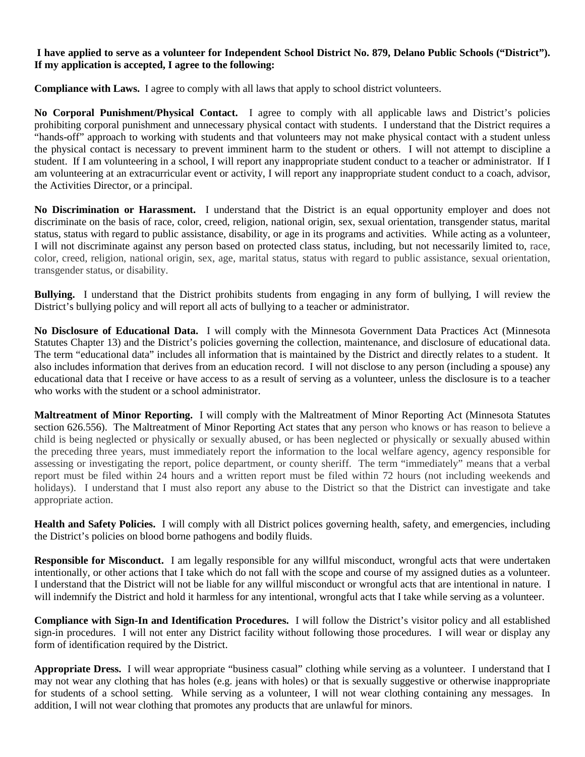## **I have applied to serve as a volunteer for Independent School District No. 879, Delano Public Schools ("District"). If my application is accepted, I agree to the following:**

**Compliance with Laws.** I agree to comply with all laws that apply to school district volunteers.

**No Corporal Punishment/Physical Contact.** I agree to comply with all applicable laws and District's policies prohibiting corporal punishment and unnecessary physical contact with students. I understand that the District requires a "hands-off" approach to working with students and that volunteers may not make physical contact with a student unless the physical contact is necessary to prevent imminent harm to the student or others. I will not attempt to discipline a student. If I am volunteering in a school, I will report any inappropriate student conduct to a teacher or administrator. If I am volunteering at an extracurricular event or activity, I will report any inappropriate student conduct to a coach, advisor, the Activities Director, or a principal.

**No Discrimination or Harassment.** I understand that the District is an equal opportunity employer and does not discriminate on the basis of race, color, creed, religion, national origin, sex, sexual orientation, transgender status, marital status, status with regard to public assistance, disability, or age in its programs and activities. While acting as a volunteer, I will not discriminate against any person based on protected class status, including, but not necessarily limited to, race, color, creed, religion, national origin, sex, age, marital status, status with regard to public assistance, sexual orientation, transgender status, or disability.

**Bullying.** I understand that the District prohibits students from engaging in any form of bullying, I will review the District's bullying policy and will report all acts of bullying to a teacher or administrator.

**No Disclosure of Educational Data.** I will comply with the Minnesota Government Data Practices Act (Minnesota Statutes Chapter 13) and the District's policies governing the collection, maintenance, and disclosure of educational data. The term "educational data" includes all information that is maintained by the District and directly relates to a student. It also includes information that derives from an education record. I will not disclose to any person (including a spouse) any educational data that I receive or have access to as a result of serving as a volunteer, unless the disclosure is to a teacher who works with the student or a school administrator.

**Maltreatment of Minor Reporting.** I will comply with the Maltreatment of Minor Reporting Act (Minnesota Statutes section 626.556). The Maltreatment of Minor Reporting Act states that any person who knows or has reason to believe a child is being neglected or physically or sexually abused, or has been neglected or physically or sexually abused within the preceding three years, must immediately report the information to the local welfare agency, agency responsible for assessing or investigating the report, police department, or county sheriff. The term "immediately" means that a verbal report must be filed within 24 hours and a written report must be filed within 72 hours (not including weekends and holidays). I understand that I must also report any abuse to the District so that the District can investigate and take appropriate action.

**Health and Safety Policies.** I will comply with all District polices governing health, safety, and emergencies, including the District's policies on blood borne pathogens and bodily fluids.

**Responsible for Misconduct.** I am legally responsible for any willful misconduct, wrongful acts that were undertaken intentionally, or other actions that I take which do not fall with the scope and course of my assigned duties as a volunteer. I understand that the District will not be liable for any willful misconduct or wrongful acts that are intentional in nature. I will indemnify the District and hold it harmless for any intentional, wrongful acts that I take while serving as a volunteer.

**Compliance with Sign-In and Identification Procedures.** I will follow the District's visitor policy and all established sign-in procedures. I will not enter any District facility without following those procedures. I will wear or display any form of identification required by the District.

**Appropriate Dress.** I will wear appropriate "business casual" clothing while serving as a volunteer. I understand that I may not wear any clothing that has holes (e.g. jeans with holes) or that is sexually suggestive or otherwise inappropriate for students of a school setting. While serving as a volunteer, I will not wear clothing containing any messages. In addition, I will not wear clothing that promotes any products that are unlawful for minors.